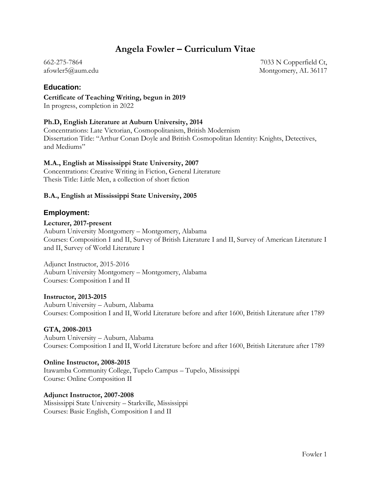# **Angela Fowler – Curriculum Vitae**

662-275-7864 afowler5@aum.edu

7033 N Copperfield Ct, Montgomery, AL 36117

# **Education:**

**Certificate of Teaching Writing, begun in 2019** In progress, completion in 2022

# **Ph.D, English Literature at Auburn University, 2014**

Concentrations: Late Victorian, Cosmopolitanism, British Modernism Dissertation Title: "Arthur Conan Doyle and British Cosmopolitan Identity: Knights, Detectives, and Mediums"

# **M.A., English at Mississippi State University, 2007**

Concentrations: Creative Writing in Fiction, General Literature Thesis Title: Little Men, a collection of short fiction

# **B.A., English at Mississippi State University, 2005**

# **Employment:**

#### **Lecturer, 2017-present**

Auburn University Montgomery – Montgomery, Alabama Courses: Composition I and II, Survey of British Literature I and II, Survey of American Literature I and II, Survey of World Literature I

Adjunct Instructor, 2015-2016 Auburn University Montgomery – Montgomery, Alabama Courses: Composition I and II

#### **Instructor, 2013-2015**

Auburn University – Auburn, Alabama Courses: Composition I and II, World Literature before and after 1600, British Literature after 1789

# **GTA, 2008-2013**

Auburn University – Auburn, Alabama Courses: Composition I and II, World Literature before and after 1600, British Literature after 1789

# **Online Instructor, 2008-2015**

Itawamba Community College, Tupelo Campus – Tupelo, Mississippi Course: Online Composition II

#### **Adjunct Instructor, 2007-2008**

Mississippi State University – Starkville, Mississippi Courses: Basic English, Composition I and II